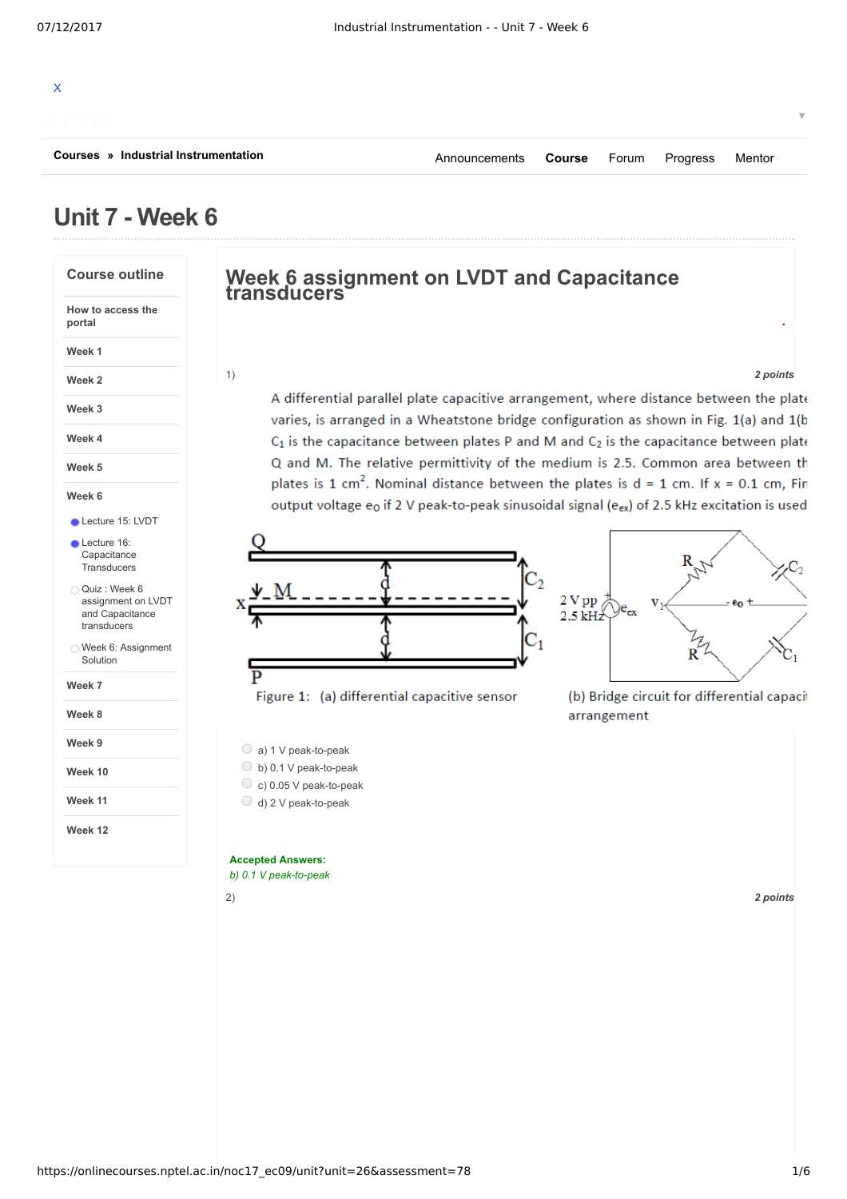

# **Unit 7 - Week 6**

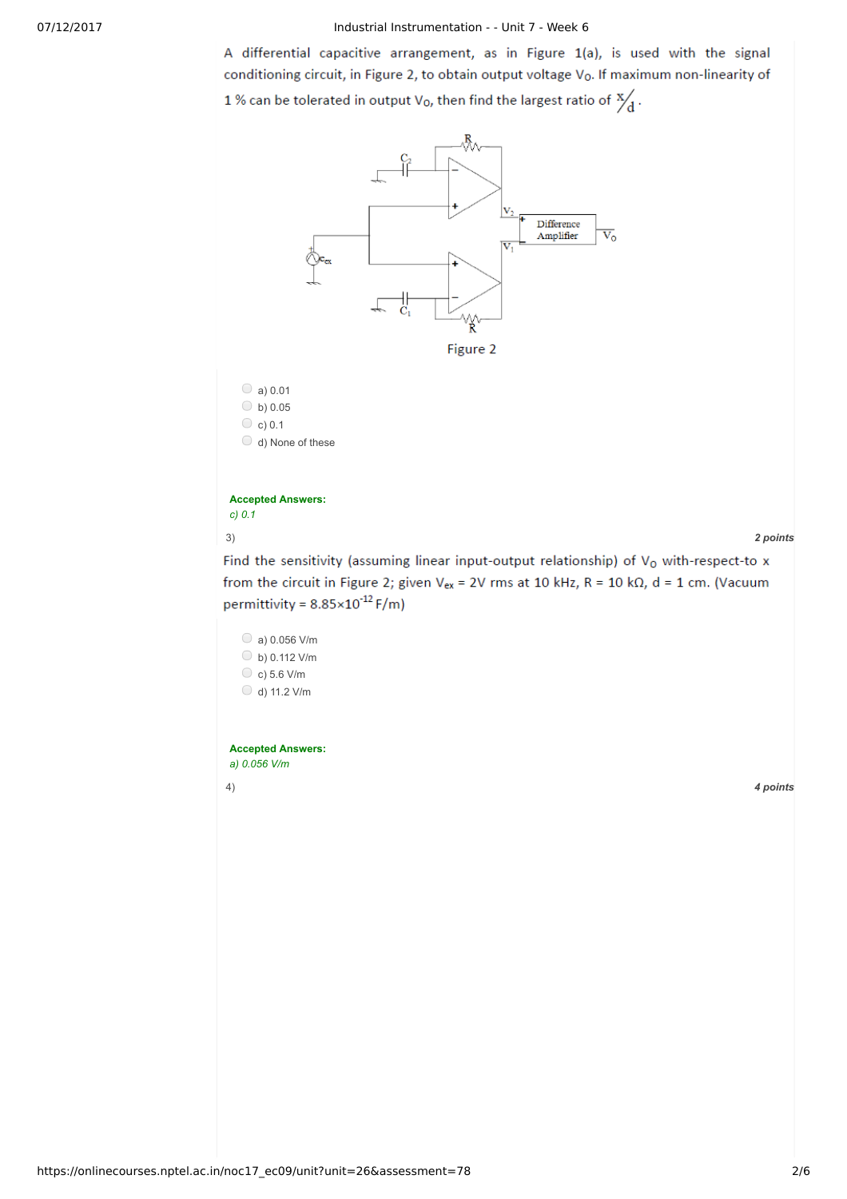### 07/12/2017 Industrial Instrumentation - - Unit 7 - Week 6

A differential capacitive arrangement, as in Figure 1(a), is used with the signal conditioning circuit, in Figure 2, to obtain output voltage V<sub>0</sub>. If maximum non-linearity of 1 % can be tolerated in output  $V_0$ , then find the largest ratio of  $\frac{x}{d}$ .



Find the sensitivity (assuming linear input-output relationship) of  $V_0$  with-respect-to x from the circuit in Figure 2; given  $V_{ex}$  = 2V rms at 10 kHz, R = 10 k $\Omega$ , d = 1 cm. (Vacuum permittivity =  $8.85 \times 10^{-12}$  F/m)

| a) 0.056 V/m |
|--------------|
| b) 0.112 V/m |
| c) $5.6$ V/m |
| d) 11.2 V/m  |

**Accepted Answers:** *a) 0.056 V/m*

4) *4 points*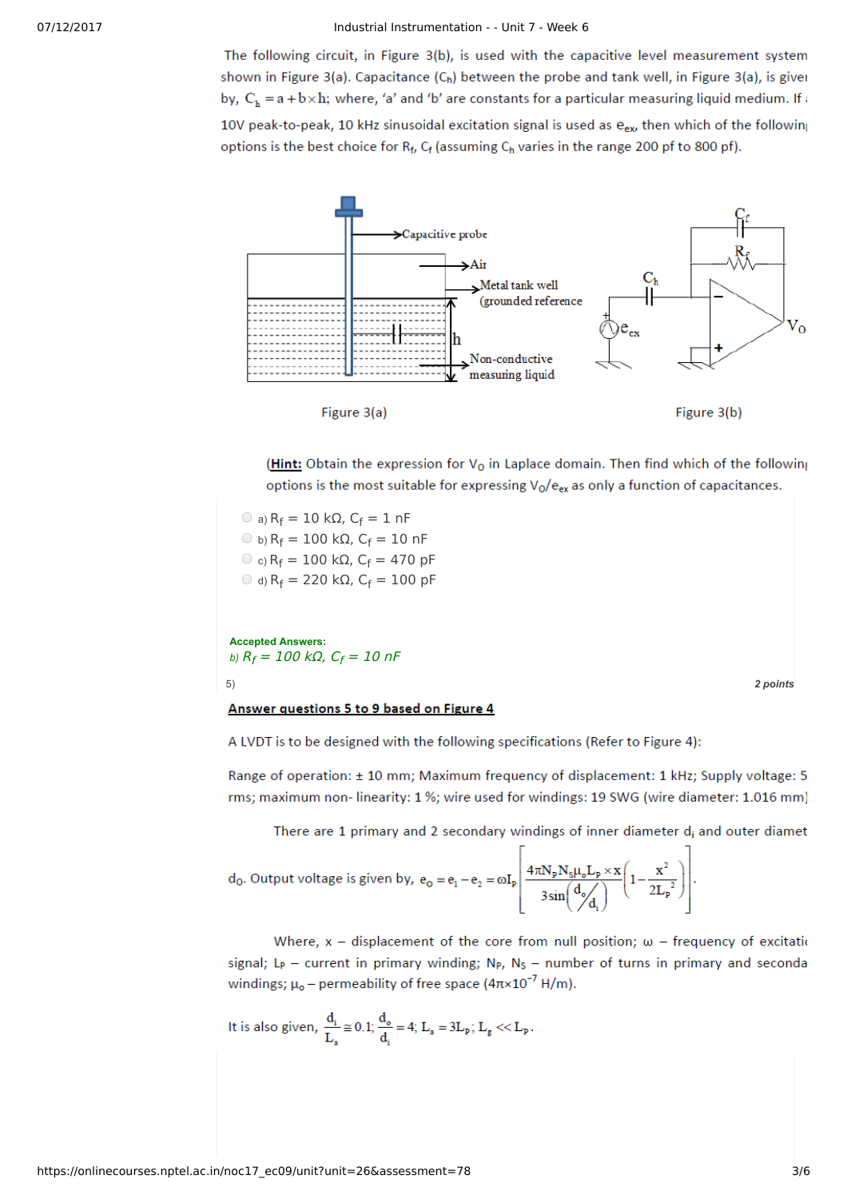The following circuit, in Figure 3(b), is used with the capacitive level measurement system shown in Figure 3(a). Capacitance  $(C_h)$  between the probe and tank well, in Figure 3(a), is giver by,  $C_h = a + b \times h$ ; where, 'a' and 'b' are constants for a particular measuring liquid medium. If a 10V peak-to-peak, 10 kHz sinusoidal excitation signal is used as e<sub>ex</sub>, then which of the following options is the best choice for  $R_f$ ,  $C_f$  (assuming  $C_h$  varies in the range 200 pf to 800 pf).



(Hint: Obtain the expression for  $V_0$  in Laplace domain. Then find which of the following options is the most suitable for expressing  $V_0/e_{ex}$  as only a function of capacitances.

 $\bigcirc$  a) R<sub>f</sub> = 10 kΩ, C<sub>f</sub> = 1 nF  $b)$  R<sub>f</sub> = 100 kΩ, C<sub>f</sub> = 10 nF  $\circ$  c) R<sub>f</sub> = 100 kΩ, C<sub>f</sub> = 470 pF  $\odot$  d) R<sub>f</sub> = 220 kΩ, C<sub>f</sub> = 100 pF

**Accepted Answers:** *b)*  $R_f = 100$  kΩ,  $C_f = 10$  nF

5) *2 points*

#### Answer questions 5 to 9 based on Figure 4

A LVDT is to be designed with the following specifications (Refer to Figure 4):

Range of operation: ± 10 mm; Maximum frequency of displacement: 1 kHz; Supply voltage: 5 rms; maximum non- linearity: 1 %; wire used for windings: 19 SWG (wire diameter: 1.016 mm)

There are 1 primary and 2 secondary windings of inner diameter d<sub>i</sub> and outer diamet

$$
d_0
$$
. Output voltage is given by,  $e_0 = e_1 - e_2 = \omega I_p \left[ \frac{4\pi N_p N_s \mu_o L_p \times x}{3\sin(\frac{d_o}{d_i})} \left( 1 - \frac{x^2}{2L_p^2} \right) \right].$ 

Where,  $x -$  displacement of the core from null position;  $\omega$  – frequency of excitation signal;  $L_P$  – current in primary winding;  $N_P$ ,  $N_S$  – number of turns in primary and seconda windings;  $\mu_o$  – permeability of free space  $(4\pi \times 10^{-7} \text{ H/m})$ .

It is also given, 
$$
\frac{d_i}{L_a} \approx 0.1
$$
;  $\frac{d_o}{d_i} = 4$ ;  $L_a = 3L_p$ ;  $L_g \ll L_p$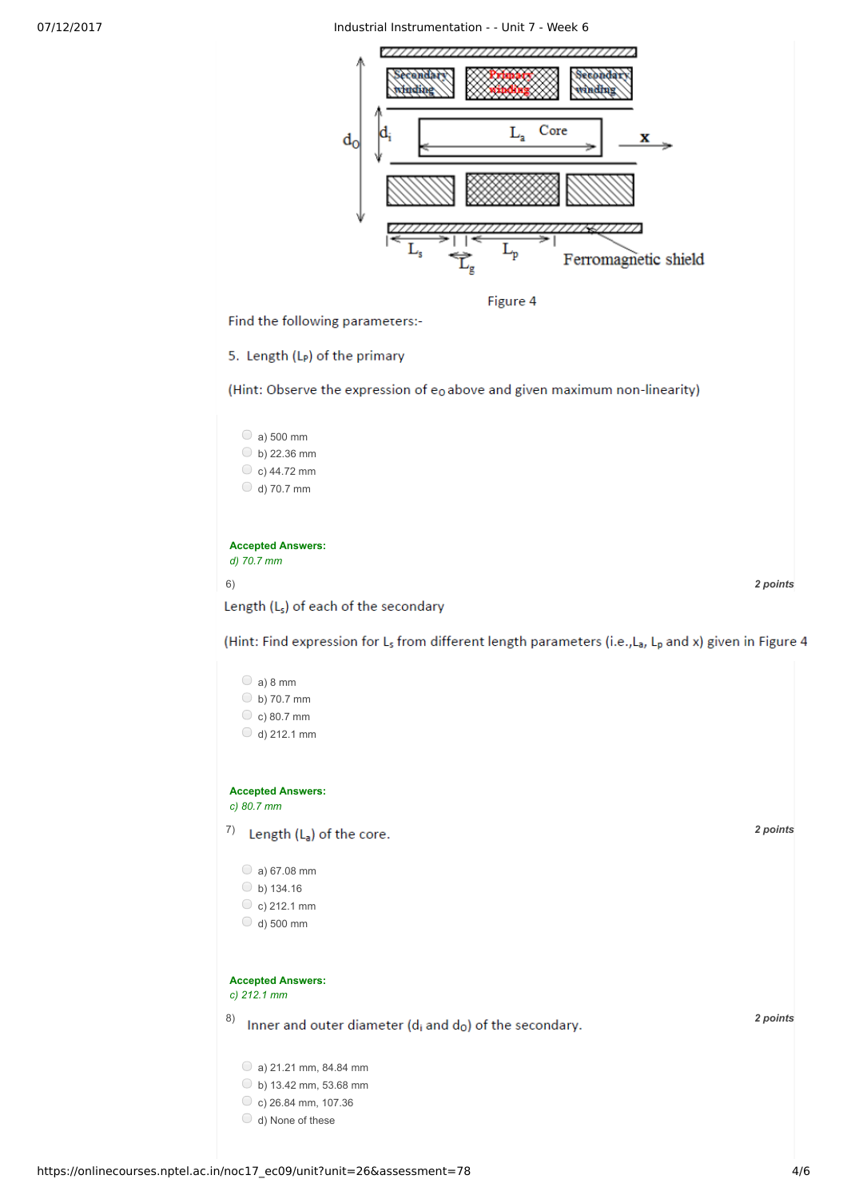### 07/12/2017 Industrial Instrumentation - - Unit 7 - Week 6



Figure 4

Find the following parameters:-

#### 5. Length (Lp) of the primary

(Hint: Observe the expression of e<sub>0</sub> above and given maximum non-linearity)

| a) 500 mm   |
|-------------|
| b) 22.36 mm |
| c) 44.72 mm |
| d) 70.7 mm  |
|             |

**Accepted Answers:** *d) 70.7 mm*

6) *2 points*

## Length (L<sub>s</sub>) of each of the secondary

(Hint: Find expression for L<sub>s</sub> from different length parameters (i.e., L<sub>a</sub>, L<sub>p</sub> and x) given in Figure 4